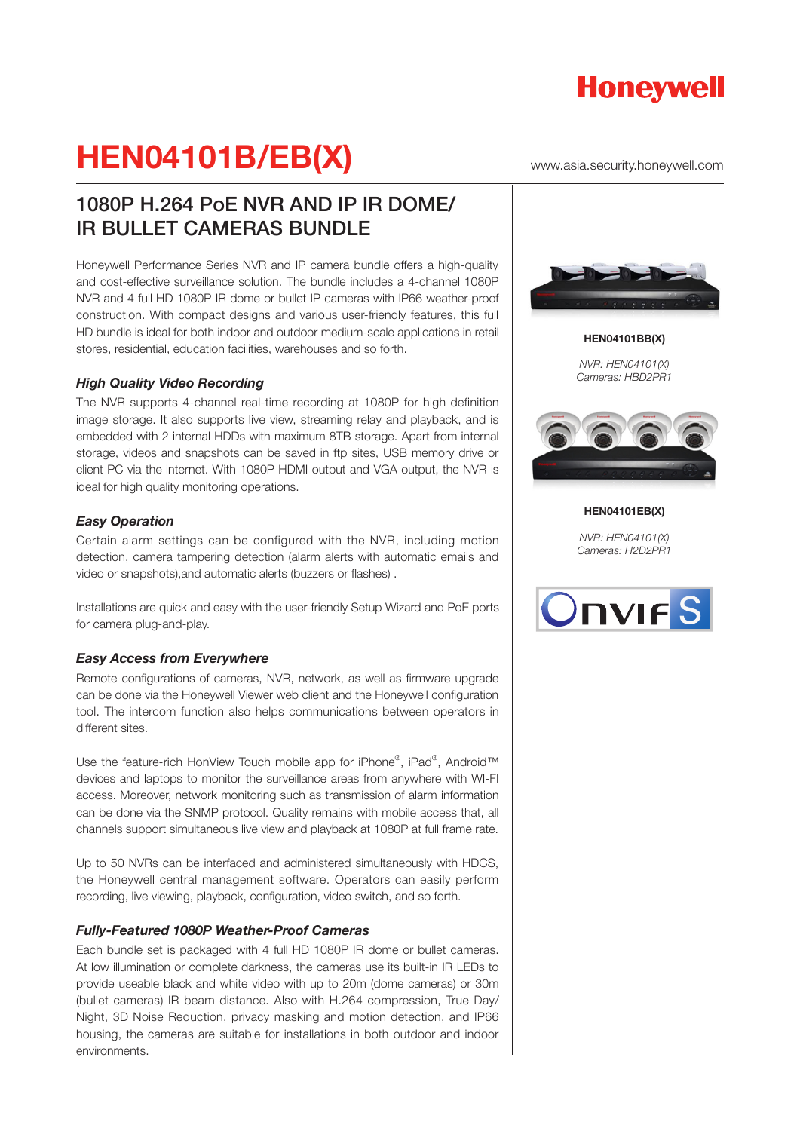

www.asia.security.honeywell.com

## 1080P H.264 PoE NVR AND IP IR DOME/ IR BULLET CAMERAS BUNDLE

Honeywell Performance Series NVR and IP camera bundle offers a high-quality and cost-effective surveillance solution. The bundle includes a 4-channel 1080P NVR and 4 full HD 1080P IR dome or bullet IP cameras with IP66 weather-proof construction. With compact designs and various user-friendly features, this full HD bundle is ideal for both indoor and outdoor medium-scale applications in retail stores, residential, education facilities, warehouses and so forth.

### *High Quality Video Recording*

The NVR supports 4-channel real-time recording at 1080P for high definition image storage. It also supports live view, streaming relay and playback, and is embedded with 2 internal HDDs with maximum 8TB storage. Apart from internal storage, videos and snapshots can be saved in ftp sites, USB memory drive or client PC via the internet. With 1080P HDMI output and VGA output, the NVR is ideal for high quality monitoring operations.

### *Easy Operation*

Certain alarm settings can be configured with the NVR, including motion detection, camera tampering detection (alarm alerts with automatic emails and video or snapshots),and automatic alerts (buzzers or flashes) .

Installations are quick and easy with the user-friendly Setup Wizard and PoE ports for camera plug-and-play.

#### *Easy Access from Everywhere*

Remote configurations of cameras, NVR, network, as well as firmware upgrade can be done via the Honeywell Viewer web client and the Honeywell configuration tool. The intercom function also helps communications between operators in different sites.

Use the feature-rich HonView Touch mobile app for iPhone®, iPad®, Android™ devices and laptops to monitor the surveillance areas from anywhere with WI-FI access. Moreover, network monitoring such as transmission of alarm information can be done via the SNMP protocol. Quality remains with mobile access that, all channels support simultaneous live view and playback at 1080P at full frame rate.

Up to 50 NVRs can be interfaced and administered simultaneously with HDCS, the Honeywell central management software. Operators can easily perform recording, live viewing, playback, configuration, video switch, and so forth.

#### *Fully-Featured 1080P Weather-Proof Cameras*

Each bundle set is packaged with 4 full HD 1080P IR dome or bullet cameras. At low illumination or complete darkness, the cameras use its built-in IR LEDs to provide useable black and white video with up to 20m (dome cameras) or 30m (bullet cameras) IR beam distance. Also with H.264 compression, True Day/ Night, 3D Noise Reduction, privacy masking and motion detection, and IP66 housing, the cameras are suitable for installations in both outdoor and indoor environments.



**HEN04101BB(X)** *NVR: HEN04101(X) Cameras: HBD2PR1*



**HEN04101EB(X)**

*NVR: HEN04101(X) Cameras: H2D2PR1*

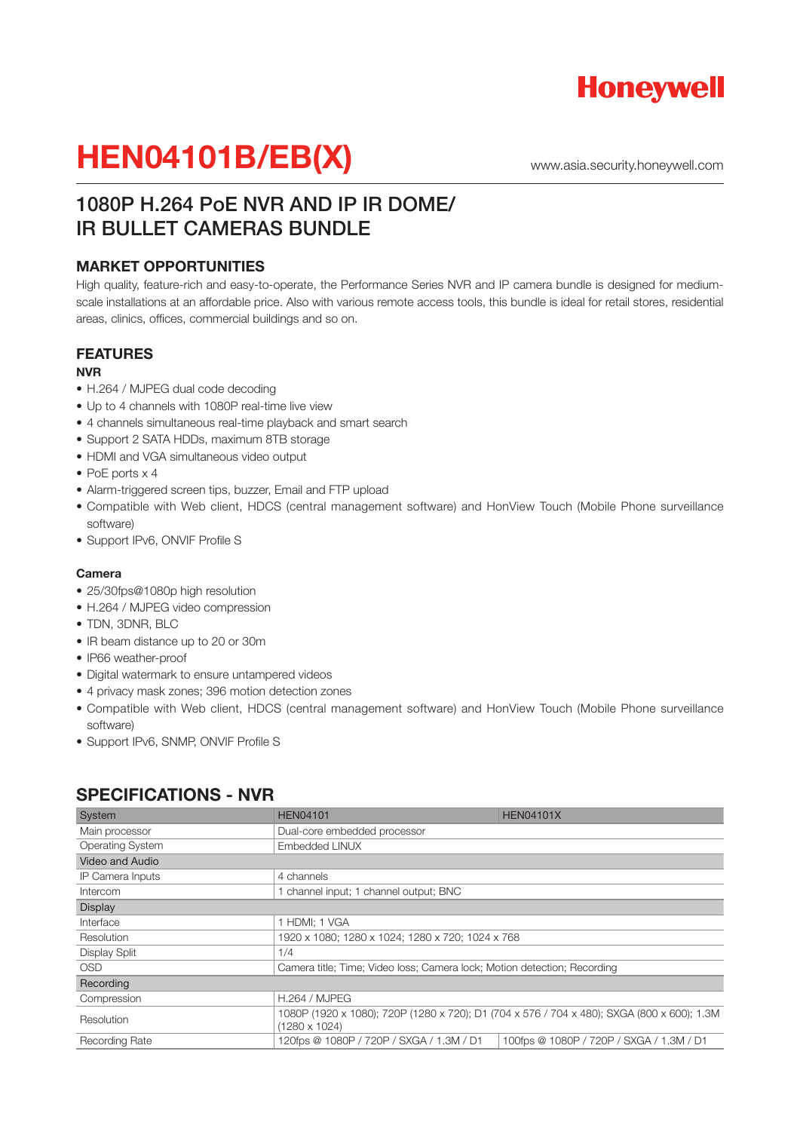

www.asia.security.honeywell.com

## 1080P H.264 PoE NVR AND IP IR DOME/ IR BULLET CAMERAS BUNDLE

### **MARKET OPPORTUNITIES**

High quality, feature-rich and easy-to-operate, the Performance Series NVR and IP camera bundle is designed for mediumscale installations at an affordable price. Also with various remote access tools, this bundle is ideal for retail stores, residential areas, clinics, offices, commercial buildings and so on.

### **FEATURES**

#### **NVR**

- H.264 / MJPEG dual code decoding
- Up to 4 channels with 1080P real-time live view
- 4 channels simultaneous real-time playback and smart search
- Support 2 SATA HDDs, maximum 8TB storage
- HDMI and VGA simultaneous video output
- PoE ports x 4
- Alarm-triggered screen tips, buzzer, Email and FTP upload
- Compatible with Web client, HDCS (central management software) and HonView Touch (Mobile Phone surveillance software)
- Support IPv6, ONVIF Profile S

#### **Camera**

- 25/30fps@1080p high resolution
- H.264 / MJPEG video compression
- TDN, 3DNR, BLC
- IR beam distance up to 20 or 30m
- IP66 weather-proof
- Digital watermark to ensure untampered videos
- 4 privacy mask zones; 396 motion detection zones
- Compatible with Web client, HDCS (central management software) and HonView Touch (Mobile Phone surveillance software)
- Support IPv6, SNMP, ONVIF Profile S

| System                  | <b>HEN04101</b>                                                          | <b>HEN04101X</b>                                                                           |
|-------------------------|--------------------------------------------------------------------------|--------------------------------------------------------------------------------------------|
| Main processor          | Dual-core embedded processor                                             |                                                                                            |
| <b>Operating System</b> | Embedded LINUX                                                           |                                                                                            |
| <b>Video and Audio</b>  |                                                                          |                                                                                            |
| IP Camera Inputs        | 4 channels                                                               |                                                                                            |
| Intercom                | 1 channel input; 1 channel output; BNC                                   |                                                                                            |
| <b>Display</b>          |                                                                          |                                                                                            |
| Interface               | 1 HDMI; 1 VGA                                                            |                                                                                            |
| Resolution              | 1920 x 1080; 1280 x 1024; 1280 x 720; 1024 x 768                         |                                                                                            |
| <b>Display Split</b>    | 1/4                                                                      |                                                                                            |
| <b>OSD</b>              | Camera title; Time; Video loss; Camera lock; Motion detection; Recording |                                                                                            |
| Recording               |                                                                          |                                                                                            |
| Compression             | <b>H.264 / MJPEG</b>                                                     |                                                                                            |
| Resolution              | $(1280 \times 1024)$                                                     | 1080P (1920 x 1080); 720P (1280 x 720); D1 (704 x 576 / 704 x 480); SXGA (800 x 600); 1.3M |
| Recording Rate          | 120fps @ 1080P / 720P / SXGA / 1.3M / D1                                 | 100fps @ 1080P / 720P / SXGA / 1.3M / D1                                                   |

### **SPECIFICATIONS - NVR**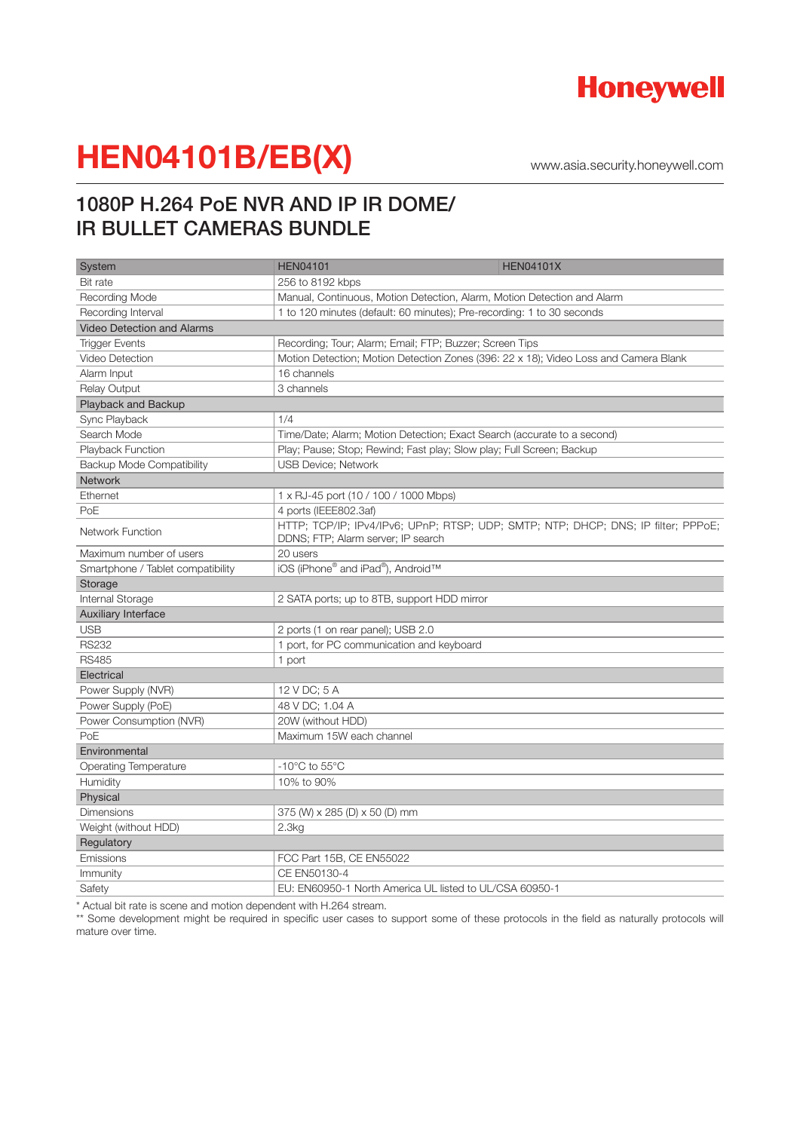

www.asia.security.honeywell.com

## 1080P H.264 PoE NVR AND IP IR DOME/ IR BULLET CAMERAS BUNDLE

| System                            | <b>HEN04101</b><br><b>HEN04101X</b>                                                                                     |
|-----------------------------------|-------------------------------------------------------------------------------------------------------------------------|
| <b>Bit rate</b>                   | 256 to 8192 kbps                                                                                                        |
| Recording Mode                    | Manual, Continuous, Motion Detection, Alarm, Motion Detection and Alarm                                                 |
| Recording Interval                | 1 to 120 minutes (default: 60 minutes); Pre-recording: 1 to 30 seconds                                                  |
| <b>Video Detection and Alarms</b> |                                                                                                                         |
| <b>Trigger Events</b>             | Recording; Tour; Alarm; Email; FTP; Buzzer; Screen Tips                                                                 |
| <b>Video Detection</b>            | Motion Detection; Motion Detection Zones (396: 22 x 18); Video Loss and Camera Blank                                    |
| Alarm Input                       | 16 channels                                                                                                             |
| <b>Relay Output</b>               | 3 channels                                                                                                              |
| Playback and Backup               |                                                                                                                         |
| Sync Playback                     | 1/4                                                                                                                     |
| Search Mode                       | Time/Date; Alarm; Motion Detection; Exact Search (accurate to a second)                                                 |
| Playback Function                 | Play; Pause; Stop; Rewind; Fast play; Slow play; Full Screen; Backup                                                    |
| Backup Mode Compatibility         | <b>USB Device: Network</b>                                                                                              |
| <b>Network</b>                    |                                                                                                                         |
| Ethernet                          | 1 x RJ-45 port (10 / 100 / 1000 Mbps)                                                                                   |
| PoE                               | 4 ports (IEEE802.3af)                                                                                                   |
| <b>Network Function</b>           | HTTP; TCP/IP; IPv4/IPv6; UPnP; RTSP; UDP; SMTP; NTP; DHCP; DNS; IP filter; PPPoE;<br>DDNS; FTP; Alarm server; IP search |
| Maximum number of users           | 20 users                                                                                                                |
| Smartphone / Tablet compatibility | iOS (iPhone® and iPad®), Android™                                                                                       |
| Storage                           |                                                                                                                         |
| Internal Storage                  | 2 SATA ports; up to 8TB, support HDD mirror                                                                             |
| Auxiliary Interface               |                                                                                                                         |
| <b>USB</b>                        | 2 ports (1 on rear panel); USB 2.0                                                                                      |
| <b>RS232</b>                      | 1 port, for PC communication and keyboard                                                                               |
| <b>RS485</b>                      | 1 port                                                                                                                  |
| Electrical                        |                                                                                                                         |
| Power Supply (NVR)                | 12 V DC; 5 A                                                                                                            |
| Power Supply (PoE)                | 48 V DC; 1.04 A                                                                                                         |
| Power Consumption (NVR)           | 20W (without HDD)                                                                                                       |
| PoE                               | Maximum 15W each channel                                                                                                |
| Environmental                     |                                                                                                                         |
| <b>Operating Temperature</b>      | $-10^{\circ}$ C to 55 $^{\circ}$ C                                                                                      |
| Humidity                          | 10% to 90%                                                                                                              |
| Physical                          |                                                                                                                         |
| Dimensions                        | 375 (W) x 285 (D) x 50 (D) mm                                                                                           |
| Weight (without HDD)              | 2.3kg                                                                                                                   |
| Regulatory                        |                                                                                                                         |
| Emissions                         | FCC Part 15B, CE EN55022                                                                                                |
| Immunity                          | CE EN50130-4                                                                                                            |
| Safety                            | EU: EN60950-1 North America UL listed to UL/CSA 60950-1                                                                 |

\* Actual bit rate is scene and motion dependent with H.264 stream.

\*\* Some development might be required in specific user cases to support some of these protocols in the field as naturally protocols will mature over time.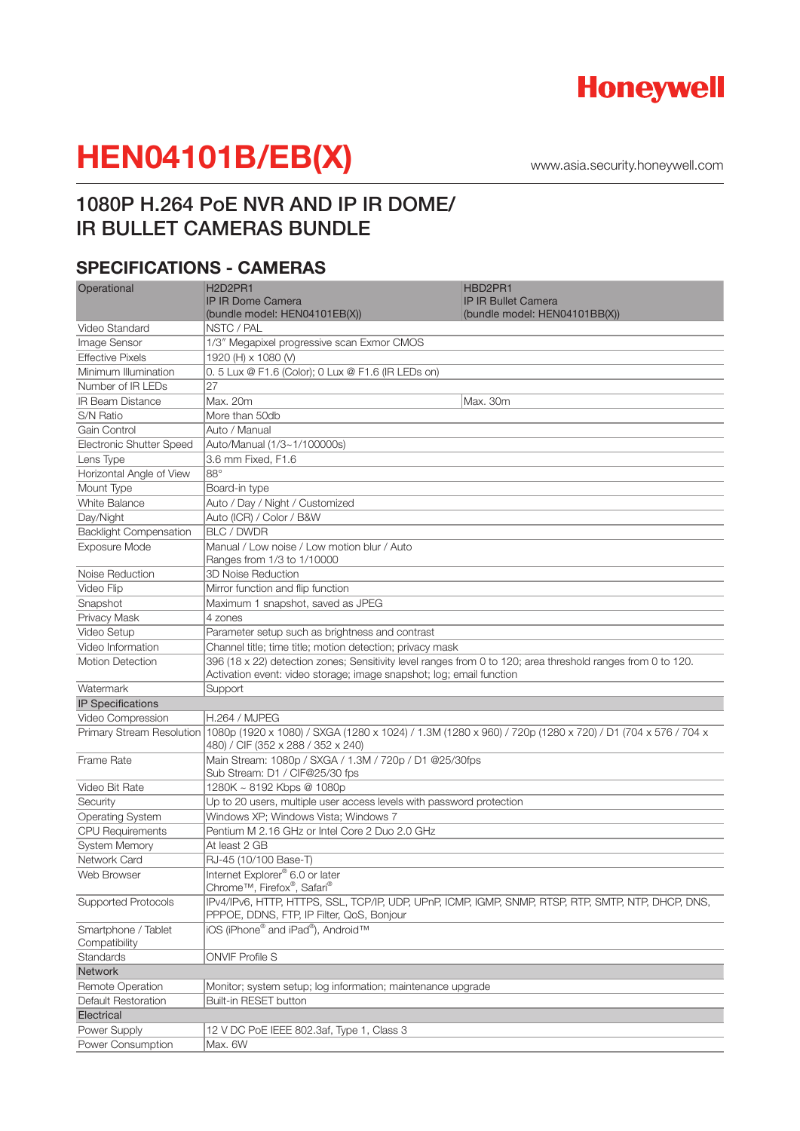

www.asia.security.honeywell.com

## 1080P H.264 PoE NVR AND IP IR DOME/ IR BULLET CAMERAS BUNDLE

## **SPECIFICATIONS - CAMERAS**

| Operational                          | H <sub>2</sub> D <sub>2</sub> PR <sub>1</sub>                                                                                                                                       | HBD2PR1                                                                                            |
|--------------------------------------|-------------------------------------------------------------------------------------------------------------------------------------------------------------------------------------|----------------------------------------------------------------------------------------------------|
|                                      | <b>IP IR Dome Camera</b>                                                                                                                                                            | <b>IP IR Bullet Camera</b>                                                                         |
|                                      | (bundle model: HEN04101EB(X))                                                                                                                                                       | (bundle model: HEN04101BB(X))                                                                      |
| Video Standard                       | NSTC / PAL                                                                                                                                                                          |                                                                                                    |
| Image Sensor                         | 1/3" Megapixel progressive scan Exmor CMOS                                                                                                                                          |                                                                                                    |
| <b>Effective Pixels</b>              | 1920 (H) x 1080 (V)                                                                                                                                                                 |                                                                                                    |
| Minimum Illumination                 | 0.5 Lux @ F1.6 (Color); 0 Lux @ F1.6 (IR LEDs on)                                                                                                                                   |                                                                                                    |
| Number of IR LEDs                    | 27                                                                                                                                                                                  |                                                                                                    |
| <b>IR Beam Distance</b>              | Max. 20m                                                                                                                                                                            | Max. 30m                                                                                           |
| S/N Ratio                            | More than 50db                                                                                                                                                                      |                                                                                                    |
| Gain Control                         | Auto / Manual                                                                                                                                                                       |                                                                                                    |
| <b>Electronic Shutter Speed</b>      | Auto/Manual (1/3~1/100000s)                                                                                                                                                         |                                                                                                    |
| Lens Type                            | 3.6 mm Fixed, F1.6                                                                                                                                                                  |                                                                                                    |
| Horizontal Angle of View             | $88^\circ$                                                                                                                                                                          |                                                                                                    |
| Mount Type                           | Board-in type                                                                                                                                                                       |                                                                                                    |
| <b>White Balance</b>                 | Auto / Day / Night / Customized                                                                                                                                                     |                                                                                                    |
| Day/Night                            | Auto (ICR) / Color / B&W                                                                                                                                                            |                                                                                                    |
| <b>Backlight Compensation</b>        | <b>BLC / DWDR</b>                                                                                                                                                                   |                                                                                                    |
| <b>Exposure Mode</b>                 | Manual / Low noise / Low motion blur / Auto                                                                                                                                         |                                                                                                    |
|                                      | Ranges from 1/3 to 1/10000                                                                                                                                                          |                                                                                                    |
| Noise Reduction                      | <b>3D Noise Reduction</b>                                                                                                                                                           |                                                                                                    |
| Video Flip                           | Mirror function and flip function                                                                                                                                                   |                                                                                                    |
| Snapshot                             | Maximum 1 snapshot, saved as JPEG                                                                                                                                                   |                                                                                                    |
| Privacy Mask                         | 4 zones                                                                                                                                                                             |                                                                                                    |
| Video Setup                          | Parameter setup such as brightness and contrast                                                                                                                                     |                                                                                                    |
| Video Information                    | Channel title; time title; motion detection; privacy mask                                                                                                                           |                                                                                                    |
| <b>Motion Detection</b>              | 396 (18 x 22) detection zones; Sensitivity level ranges from 0 to 120; area threshold ranges from 0 to 120.<br>Activation event: video storage; image snapshot; log; email function |                                                                                                    |
| Watermark                            | Support                                                                                                                                                                             |                                                                                                    |
| <b>IP Specifications</b>             |                                                                                                                                                                                     |                                                                                                    |
| Video Compression                    | <b>H.264 / MJPEG</b>                                                                                                                                                                |                                                                                                    |
|                                      | Primary Stream Resolution 1080p (1920 x 1080) / SXGA (1280 x 1024) / 1.3M (1280 x 960) / 720p (1280 x 720) / D1 (704 x 576 / 704 x<br>480) / CIF (352 x 288 / 352 x 240)            |                                                                                                    |
| Frame Rate                           | Main Stream: 1080p / SXGA / 1.3M / 720p / D1 @25/30fps<br>Sub Stream: D1 / CIF@25/30 fps                                                                                            |                                                                                                    |
| Video Bit Rate                       | 1280K ~ 8192 Kbps @ 1080p                                                                                                                                                           |                                                                                                    |
| Security                             | Up to 20 users, multiple user access levels with password protection                                                                                                                |                                                                                                    |
| <b>Operating System</b>              | Windows XP: Windows Vista: Windows 7                                                                                                                                                |                                                                                                    |
| <b>CPU Requirements</b>              | Pentium M 2.16 GHz or Intel Core 2 Duo 2.0 GHz                                                                                                                                      |                                                                                                    |
| <b>System Memory</b>                 | At least 2 GB                                                                                                                                                                       |                                                                                                    |
| Network Card                         | RJ-45 (10/100 Base-T)                                                                                                                                                               |                                                                                                    |
| Web Browser                          | Internet Explorer® 6.0 or later<br>Chrome™, Firefox®, Safari®                                                                                                                       |                                                                                                    |
| <b>Supported Protocols</b>           | PPPOE, DDNS, FTP, IP Filter, QoS, Bonjour                                                                                                                                           | IPv4/IPv6, HTTP, HTTPS, SSL, TCP/IP, UDP, UPnP, ICMP, IGMP, SNMP, RTSP, RTP, SMTP, NTP, DHCP, DNS, |
| Smartphone / Tablet<br>Compatibility | iOS (iPhone® and iPad®), Android™                                                                                                                                                   |                                                                                                    |
| Standards                            | <b>ONVIF Profile S</b>                                                                                                                                                              |                                                                                                    |
| Network                              |                                                                                                                                                                                     |                                                                                                    |
| <b>Remote Operation</b>              | Monitor; system setup; log information; maintenance upgrade                                                                                                                         |                                                                                                    |
| Default Restoration                  | Built-in RESET button                                                                                                                                                               |                                                                                                    |
| Electrical                           |                                                                                                                                                                                     |                                                                                                    |
| Power Supply                         | 12 V DC PoE IEEE 802.3af, Type 1, Class 3                                                                                                                                           |                                                                                                    |
| Power Consumption                    | Max. 6W                                                                                                                                                                             |                                                                                                    |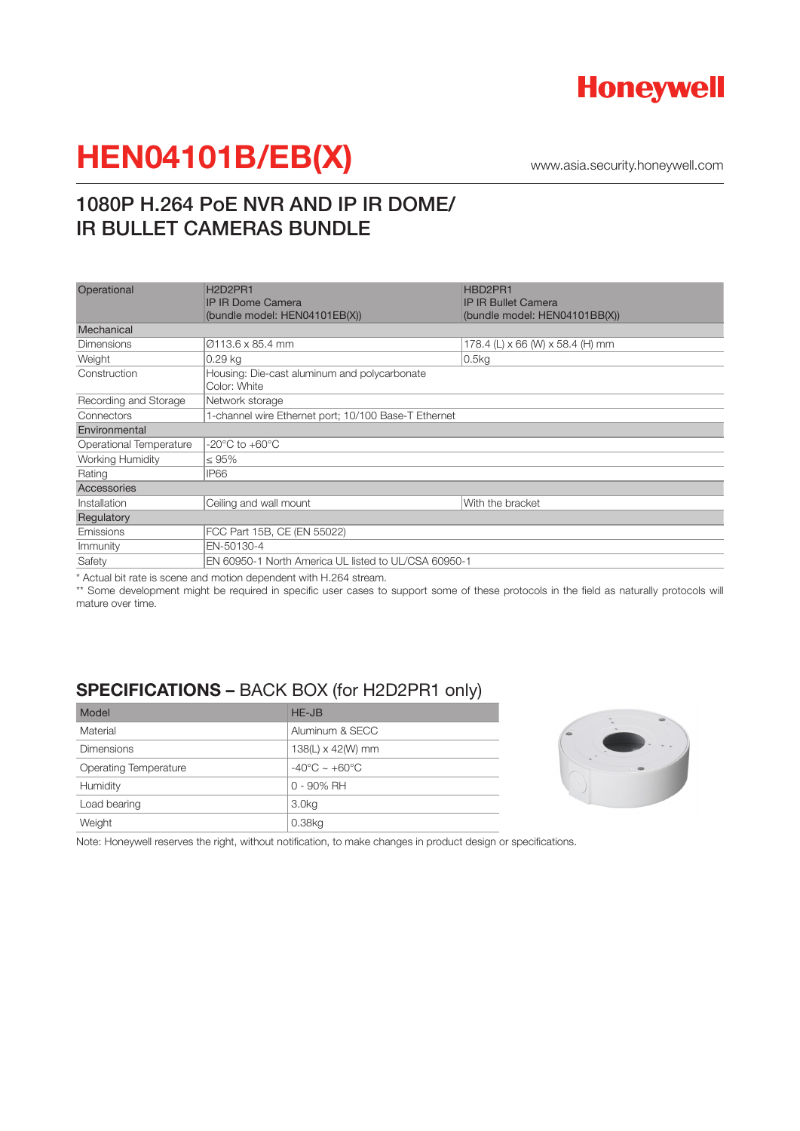

www.asia.security.honeywell.com

## 1080P H.264 PoE NVR AND IP IR DOME/ IR BULLET CAMERAS BUNDLE

| Operational             | H <sub>2</sub> D <sub>2</sub> PR <sub>1</sub><br><b>IP IR Dome Camera</b><br>(bundle model: HEN04101EB(X)) | HBD2PR1<br><b>IP IR Bullet Camera</b><br>(bundle model: HEN04101BB(X)) |
|-------------------------|------------------------------------------------------------------------------------------------------------|------------------------------------------------------------------------|
| Mechanical              |                                                                                                            |                                                                        |
| <b>Dimensions</b>       | Ø113.6 x 85.4 mm                                                                                           | 178.4 (L) x 66 (W) x 58.4 (H) mm                                       |
| Weight                  | $0.29$ kg                                                                                                  | $0.5$ kg                                                               |
| Construction            | Housing: Die-cast aluminum and polycarbonate<br>Color: White                                               |                                                                        |
| Recording and Storage   | Network storage                                                                                            |                                                                        |
| Connectors              | 1-channel wire Ethernet port; 10/100 Base-T Ethernet                                                       |                                                                        |
| Environmental           |                                                                                                            |                                                                        |
| Operational Temperature | $-20^{\circ}$ C to $+60^{\circ}$ C                                                                         |                                                                        |
| Working Humidity        | $\leq 95\%$                                                                                                |                                                                        |
| Rating                  | IP66                                                                                                       |                                                                        |
| Accessories             |                                                                                                            |                                                                        |
| Installation            | Ceiling and wall mount                                                                                     | With the bracket                                                       |
| Regulatory              |                                                                                                            |                                                                        |
| Emissions               | FCC Part 15B, CE (EN 55022)                                                                                |                                                                        |
| Immunity                | EN-50130-4                                                                                                 |                                                                        |
| Safety                  | EN 60950-1 North America UL listed to UL/CSA 60950-1                                                       |                                                                        |

\* Actual bit rate is scene and motion dependent with H.264 stream.

\*\* Some development might be required in specific user cases to support some of these protocols in the field as naturally protocols will mature over time.

## **SPECIFICATIONS –** BACK BOX (for H2D2PR1 only)

| Model                        | HE-JB                             |
|------------------------------|-----------------------------------|
| Material                     | Aluminum & SECC                   |
| <b>Dimensions</b>            | 138(L) $\times$ 42(W) mm          |
| <b>Operating Temperature</b> | $-40^{\circ}$ C ~ $+60^{\circ}$ C |
| Humidity                     | $0 - 90\%$ RH                     |
| Load bearing                 | 3.0 <sub>kq</sub>                 |
| Weight                       | 0.38kq                            |



Note: Honeywell reserves the right, without notification, to make changes in product design or specifications.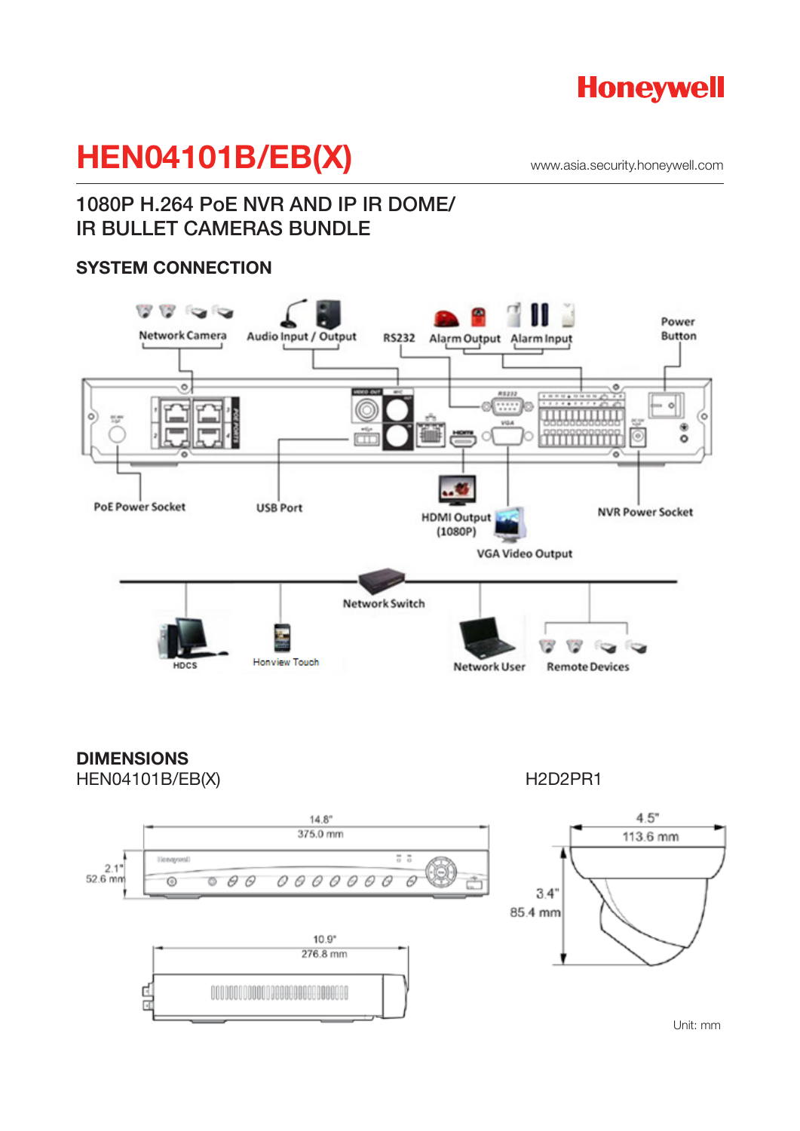

www.asia.security.honeywell.com

## 1080P H.264 PoE NVR AND IP IR DOME/ IR BULLET CAMERAS BUNDLE

### **SYSTEM CONNECTION**



**DIMENSIONS** HEN04101B/EB(X) H2D2PR1



Unit: mm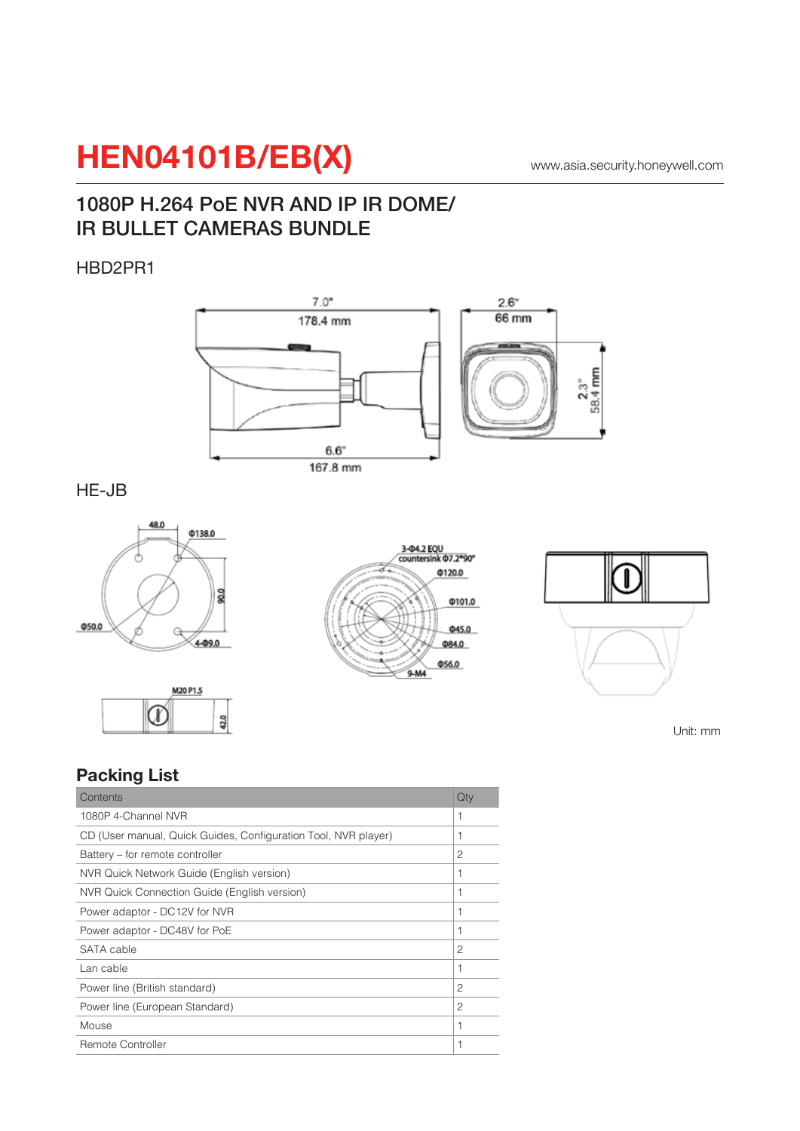## 1080P H.264 PoE NVR AND IP IR DOME/ IR BULLET CAMERAS BUNDLE

### HBD2PR1



HE-JB









Unit: mm

## **Packing List**

| Contents                                                       | Qty            |
|----------------------------------------------------------------|----------------|
| 1080P 4-Channel NVR                                            | 1              |
| CD (User manual, Quick Guides, Configuration Tool, NVR player) | 1              |
| Battery – for remote controller                                | 2              |
| NVR Quick Network Guide (English version)                      | 1              |
| NVR Quick Connection Guide (English version)                   | 1              |
| Power adaptor - DC12V for NVR                                  | 1              |
| Power adaptor - DC48V for PoE                                  | 1              |
| SATA cable                                                     | 2              |
| Lan cable                                                      | 1              |
| Power line (British standard)                                  | $\mathfrak{p}$ |
| Power line (European Standard)                                 | 2              |
| Mouse                                                          | 1              |
| <b>Remote Controller</b>                                       | 1              |